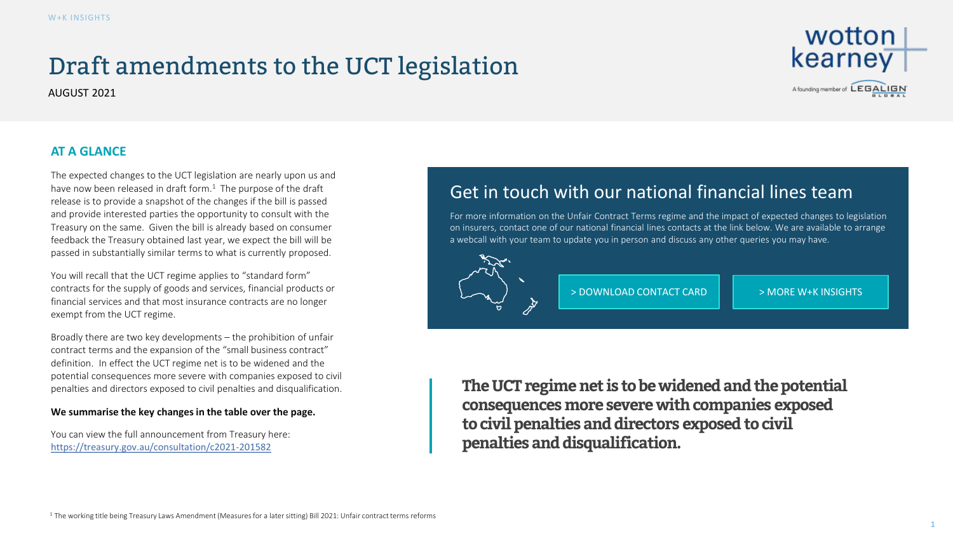## Draft amendments to the UCT legislation

AUGUST 2021



## **AT A GLANCE**

The expected changes to the UCT legislation are nearly upon us and have now been released in draft form. $<sup>1</sup>$  The purpose of the draft</sup> release is to provide a snapshot of the changes if the bill is passed and provide interested parties the opportunity to consult with the Treasury on the same. Given the bill is already based on consumer feedback the Treasury obtained last year, we expect the bill will be passed in substantially similar terms to what is currently proposed.

You will recall that the UCT regime applies to "standard form" contracts for the supply of goods and services, financial products or financial services and that most insurance contracts are no longer exempt from the UCT regime.

Broadly there are two key developments – the prohibition of unfair contract terms and the expansion of the "small business contract" definition. In effect the UCT regime net is to be widened and the potential consequences more severe with companies exposed to civil penalties and directors exposed to civil penalties and disqualification.

## **We summarise the key changes in the table over the page.**

You can view the full announcement from Treasury here: <https://treasury.gov.au/consultation/c2021-201582>

## Get in touch with our national financial lines team

For more information on the Unfair Contract Terms regime and the impact of expected changes to legislation on insurers, contact one of our national financial lines contacts at the link below. We are available to arrange a webcall with your team to update you in person and discuss any other queries you may have.



[> DOWNLOAD CONTACT CARD](https://www.wottonkearney.com.au/download/11297/)  $\|\cdot\|$  [> MORE W+K INSIGHTS](https://www.wottonkearney.com.au/knowledge-hub/)

**The UCT regime net is to be widened and the potential consequences more severe with companies exposed to civil penalties and directors exposed to civil penalties and disqualification.**